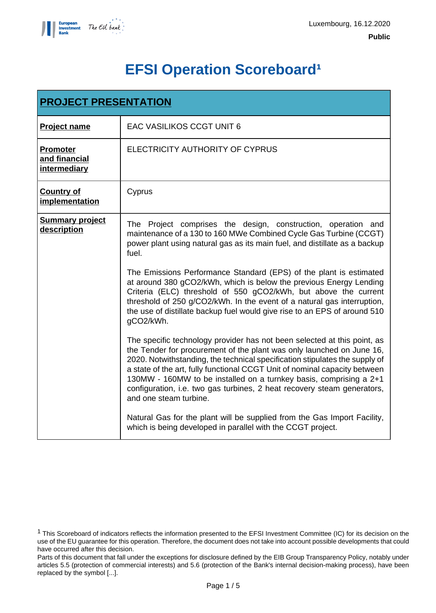

# **EFSI Operation Scoreboard<sup>1</sup>**

| <b>PROJECT PRESENTATION</b>                      |                                                                                                                                                                                                                                                                                                                                                                                                                                                                                           |  |  |  |
|--------------------------------------------------|-------------------------------------------------------------------------------------------------------------------------------------------------------------------------------------------------------------------------------------------------------------------------------------------------------------------------------------------------------------------------------------------------------------------------------------------------------------------------------------------|--|--|--|
| <b>Project name</b>                              | <b>EAC VASILIKOS CCGT UNIT 6</b>                                                                                                                                                                                                                                                                                                                                                                                                                                                          |  |  |  |
| <b>Promoter</b><br>and financial<br>intermediary | ELECTRICITY AUTHORITY OF CYPRUS                                                                                                                                                                                                                                                                                                                                                                                                                                                           |  |  |  |
| <b>Country of</b><br>implementation              | Cyprus                                                                                                                                                                                                                                                                                                                                                                                                                                                                                    |  |  |  |
| <b>Summary project</b><br>description            | The Project comprises the design, construction, operation and<br>maintenance of a 130 to 160 MWe Combined Cycle Gas Turbine (CCGT)<br>power plant using natural gas as its main fuel, and distillate as a backup<br>fuel.                                                                                                                                                                                                                                                                 |  |  |  |
|                                                  | The Emissions Performance Standard (EPS) of the plant is estimated<br>at around 380 gCO2/kWh, which is below the previous Energy Lending<br>Criteria (ELC) threshold of 550 gCO2/kWh, but above the current<br>threshold of 250 g/CO2/kWh. In the event of a natural gas interruption,<br>the use of distillate backup fuel would give rise to an EPS of around 510<br>gCO2/kWh.                                                                                                          |  |  |  |
|                                                  | The specific technology provider has not been selected at this point, as<br>the Tender for procurement of the plant was only launched on June 16,<br>2020. Notwithstanding, the technical specification stipulates the supply of<br>a state of the art, fully functional CCGT Unit of nominal capacity between<br>130MW - 160MW to be installed on a turnkey basis, comprising a 2+1<br>configuration, i.e. two gas turbines, 2 heat recovery steam generators,<br>and one steam turbine. |  |  |  |
|                                                  | Natural Gas for the plant will be supplied from the Gas Import Facility,<br>which is being developed in parallel with the CCGT project.                                                                                                                                                                                                                                                                                                                                                   |  |  |  |

<sup>1</sup> This Scoreboard of indicators reflects the information presented to the EFSI Investment Committee (IC) for its decision on the use of the EU guarantee for this operation. Therefore, the document does not take into account possible developments that could have occurred after this decision.

Parts of this document that fall under the exceptions for disclosure defined by the EIB Group Transparency Policy, notably under articles 5.5 (protection of commercial interests) and 5.6 (protection of the Bank's internal decision-making process), have been replaced by the symbol [...].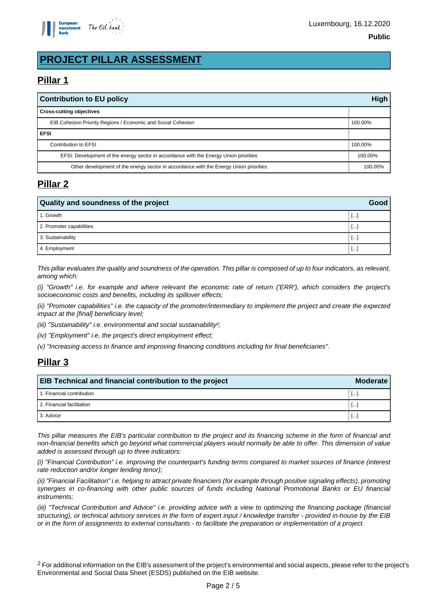

# **PROJECT PILLAR ASSESSMENT**

# **Pillar 1**

| <b>Contribution to EU policy</b>                                                      |         |  |
|---------------------------------------------------------------------------------------|---------|--|
| <b>Cross-cutting objectives</b>                                                       |         |  |
| EIB Cohesion Priority Regions / Economic and Social Cohesion                          | 100.00% |  |
| <b>EFSI</b>                                                                           |         |  |
| Contribution to EFSI                                                                  | 100.00% |  |
| EFSI: Development of the energy sector in accordance with the Energy Union priorities |         |  |
| Other development of the energy sector in accordance with the Energy Union priorities |         |  |

## **Pillar 2**

| <b>Quality and soundness of the project</b> |             |  |
|---------------------------------------------|-------------|--|
| 1. Growth                                   | <b>Line</b> |  |
| 2. Promoter capabilities                    | $\cdots$    |  |
| 3. Sustainability                           | $\cdots$    |  |
| 4. Employment                               | $\cdots$    |  |

This pillar evaluates the quality and soundness of the operation. This pillar is composed of up to four indicators, as relevant, among which:

(i) "Growth" i.e. for example and where relevant the economic rate of return ('ERR'), which considers the project's socioeconomic costs and benefits, including its spillover effects;

(ii) "Promoter capabilities" i.e. the capacity of the promoter/intermediary to implement the project and create the expected impact at the [final] beneficiary level;

(iii) "Sustainability" i.e. environmental and social sustainability?;

(iv) "Employment" i.e. the project's direct employment effect;

(v) "Increasing access to finance and improving financing conditions including for final beneficiaries".

# **Pillar 3**

| EIB Technical and financial contribution to the project |          |  |
|---------------------------------------------------------|----------|--|
| 1. Financial contribution                               | Ŀ.       |  |
| 2. Financial facilitation                               | $\cdots$ |  |
| 3. Advice                                               |          |  |

This pillar measures the EIB's particular contribution to the project and its financing scheme in the form of financial and non-financial benefits which go beyond what commercial players would normally be able to offer. This dimension of value added is assessed through up to three indicators:

(i) "Financial Contribution" i.e. improving the counterpart's funding terms compared to market sources of finance (interest rate reduction and/or longer lending tenor);

(ii) "Financial Facilitation" i.e. helping to attract private financiers (for example through positive signaling effects), promoting synergies in co-financing with other public sources of funds including National Promotional Banks or EU financial instruments;

(iii) "Technical Contribution and Advice" i.e. providing advice with a view to optimizing the financing package (financial structuring), or technical advisory services in the form of expert input / knowledge transfer - provided in-house by the EIB or in the form of assignments to external consultants - to facilitate the preparation or implementation of a project.

<sup>2</sup> For additional information on the EIB's assessment of the project's environmental and social aspects, please refer to the project's Environmental and Social Data Sheet (ESDS) published on the EIB website.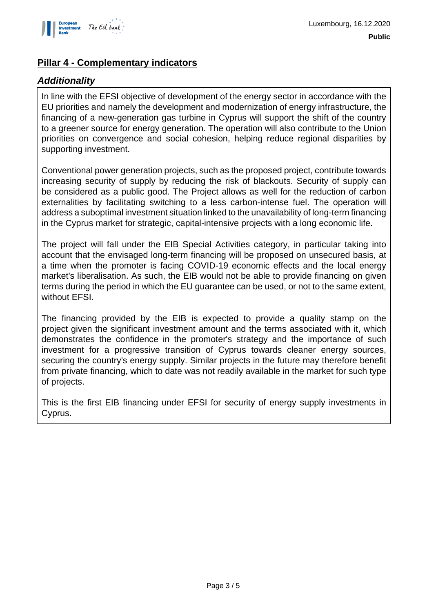

## **Pillar 4 - Complementary indicators**

### **Additionality**

In line with the EFSI objective of development of the energy sector in accordance with the EU priorities and namely the development and modernization of energy infrastructure, the financing of a new-generation gas turbine in Cyprus will support the shift of the country to a greener source for energy generation. The operation will also contribute to the Union priorities on convergence and social cohesion, helping reduce regional disparities by supporting investment.

Conventional power generation projects, such as the proposed project, contribute towards increasing security of supply by reducing the risk of blackouts. Security of supply can be considered as a public good. The Project allows as well for the reduction of carbon externalities by facilitating switching to a less carbon-intense fuel. The operation will address a suboptimal investment situation linked to the unavailability of long-term financing in the Cyprus market for strategic, capital-intensive projects with a long economic life.

The project will fall under the EIB Special Activities category, in particular taking into account that the envisaged long-term financing will be proposed on unsecured basis, at a time when the promoter is facing COVID-19 economic effects and the local energy market's liberalisation. As such, the EIB would not be able to provide financing on given terms during the period in which the EU guarantee can be used, or not to the same extent, without EFSI.

The financing provided by the EIB is expected to provide a quality stamp on the project given the significant investment amount and the terms associated with it, which demonstrates the confidence in the promoter's strategy and the importance of such investment for a progressive transition of Cyprus towards cleaner energy sources, securing the country's energy supply. Similar projects in the future may therefore benefit from private financing, which to date was not readily available in the market for such type of projects.

This is the first EIB financing under EFSI for security of energy supply investments in Cyprus.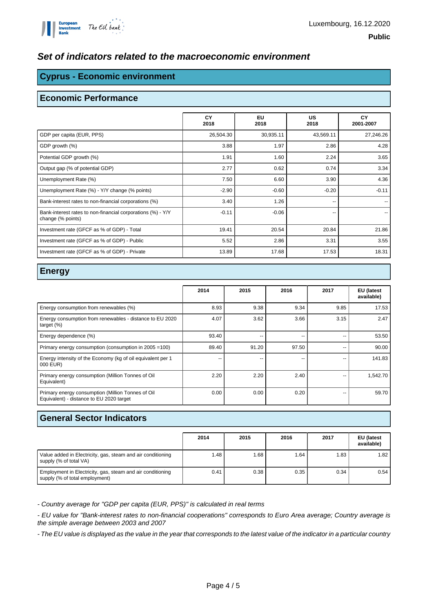#### **Set of indicators related to the macroeconomic environment**

#### **Cyprus - Economic environment**

#### **Economic Performance**

|                                                                                  | CY<br>2018 | <b>EU</b><br>2018 | US<br>2018 | CY<br>2001-2007 |
|----------------------------------------------------------------------------------|------------|-------------------|------------|-----------------|
| GDP per capita (EUR, PPS)                                                        | 26,504.30  | 30,935.11         | 43,569.11  | 27,246.26       |
| GDP growth (%)                                                                   | 3.88       | 1.97              | 2.86       | 4.28            |
| Potential GDP growth (%)                                                         | 1.91       | 1.60              | 2.24       | 3.65            |
| Output gap (% of potential GDP)                                                  | 2.77       | 0.62              | 0.74       | 3.34            |
| Unemployment Rate (%)                                                            | 7.50       | 6.60              | 3.90       | 4.36            |
| Unemployment Rate (%) - Y/Y change (% points)                                    | $-2.90$    | $-0.60$           | $-0.20$    | $-0.11$         |
| Bank-interest rates to non-financial corporations (%)                            | 3.40       | 1.26              | --         |                 |
| Bank-interest rates to non-financial corporations (%) - Y/Y<br>change (% points) | $-0.11$    | $-0.06$           | --         |                 |
| Investment rate (GFCF as % of GDP) - Total                                       | 19.41      | 20.54             | 20.84      | 21.86           |
| Investment rate (GFCF as % of GDP) - Public                                      | 5.52       | 2.86              | 3.31       | 3.55            |
| Investment rate (GFCF as % of GDP) - Private                                     | 13.89      | 17.68             | 17.53      | 18.31           |

#### **Energy**

|                                                                                               | 2014  | 2015  | 2016  | 2017 | EU (latest<br>available) |
|-----------------------------------------------------------------------------------------------|-------|-------|-------|------|--------------------------|
| Energy consumption from renewables (%)                                                        | 8.93  | 9.38  | 9.34  | 9.85 | 17.53                    |
| Energy consumption from renewables - distance to EU 2020<br>target $(\%)$                     | 4.07  | 3.62  | 3.66  | 3.15 | 2.47                     |
| Energy dependence (%)                                                                         | 93.40 |       | --    |      | 53.50                    |
| Primary energy consumption (consumption in 2005 = 100)                                        | 89.40 | 91.20 | 97.50 | --   | 90.00                    |
| Energy intensity of the Economy (kg of oil equivalent per 1<br>000 EUR)                       | --    | $-$   | --    | --   | 141.83                   |
| Primary energy consumption (Million Tonnes of Oil<br>Equivalent)                              | 2.20  | 2.20  | 2.40  | --   | 1,542.70                 |
| Primary energy consumption (Million Tonnes of Oil<br>Equivalent) - distance to EU 2020 target | 0.00  | 0.00  | 0.20  | --   | 59.70                    |

#### **General Sector Indicators**

|                                                                                              | 2014 | 2015 | 2016 | 2017 | EU (latest<br>available) |
|----------------------------------------------------------------------------------------------|------|------|------|------|--------------------------|
| Value added in Electricity, gas, steam and air conditioning<br>supply (% of total VA)        | 1.48 | 1.68 | 1.64 | 1.83 | 1.82                     |
| Employment in Electricity, gas, steam and air conditioning<br>supply (% of total employment) | 0.41 | 0.38 | 0.35 | 0.34 | 0.54                     |

- Country average for "GDP per capita (EUR, PPS)" is calculated in real terms

- EU value for "Bank-interest rates to non-financial cooperations" corresponds to Euro Area average; Country average is the simple average between 2003 and 2007

- The EU value is displayed as the value in the year that corresponds to the latest value of the indicator in a particular country